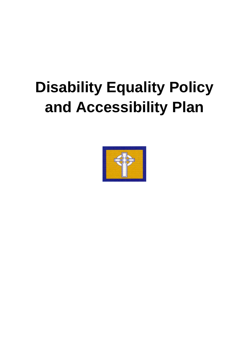# **Disability Equality Policy and Accessibility Plan**

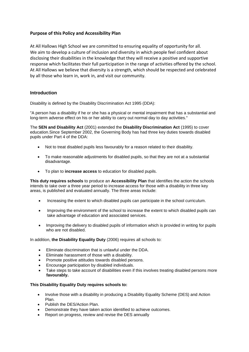# **Purpose of this Policy and Accessibility Plan**

At All Hallows High School we are committed to ensuring equality of opportunity for all. We aim to develop a culture of inclusion and diversity in which people feel confident about disclosing their disabilities in the knowledge that they will receive a positive and supportive response which facilitates their full participation in the range of activities offered by the school. At All Hallows we believe that diversity is a strength, which should be respected and celebrated by all those who learn in, work in, and visit our community.

# **Introduction**

Disability is defined by the Disability Discrimination Act 1995 (DDA):

"A person has a disability if he or she has a physical or mental impairment that has a substantial and long-term adverse effect on his or her ability to carry out normal day to day activities."

The **SEN and Disability Act** (2001) extended the **Disability Discrimination Act** (1995) to cover education.Since September 2002, the Governing Body has had three key duties towards disabled pupils under Part 4 of the DDA:

- Not to treat disabled pupils less favourably for a reason related to their disability.
- To make reasonable adjustments for disabled pupils, so that they are not at a substantial disadvantage.
- To plan to **increase access** to education for disabled pupils.

**This duty requires schools** to produce an **Accessibility Plan** that identifies the action the schools intends to take over a three year period to increase access for those with a disability in three key areas, is published and evaluated annually. The three areas include:

- Increasing the extent to which disabled pupils can participate in the school curriculum.
- Improving the environment of the school to increase the extent to which disabled pupils can take advantage of education and associated services.
- Improving the delivery to disabled pupils of information which is provided in writing for pupils who are not disabled.

In addition, **the Disability Equality Duty** (2006) requires all schools to:

- Eliminate discrimination that is unlawful under the DDA.
- Eliminate harassment of those with a disability.
- Promote positive attitudes towards disabled persons.
- Encourage participation by disabled individuals.
- Take steps to take account of disabilities even if this involves treating disabled persons more  **favourably.**

# **This Disability Equality Duty requires schools to:**

- Involve those with a disability in producing a Disability Equality Scheme (DES) and Action Plan.
- Publish the DES/Action Plan.
- Demonstrate they have taken action identified to achieve outcomes.
- Report on progress, review and revise the DES annually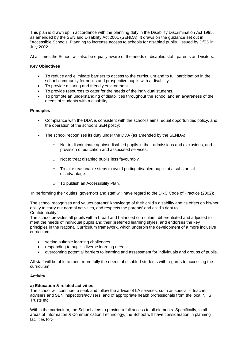This plan is drawn up in accordance with the planning duty in the Disability Discrimination Act 1995, as amended by the SEN and Disability Act 2001 (SENDA). It draws on the guidance set out in "Accessible Schools: Planning to increase access to schools for disabled pupils", issued by DfES in July 2002.

At all times the School will also be equally aware of the needs of disabled staff, parents and visitors.

# **Key Objectives**

- To reduce and eliminate barriers to access to the curriculum and to full participation in the school community for pupils and prospective pupils with a disability.
- To provide a caring and friendly environment.
- To provide resources to cater for the needs of the individual students.
- To promote an understanding of disabilities throughout the school and an awareness of the needs of students with a disability.

# **Principles**

- Compliance with the DDA is consistent with the school's aims, equal opportunities policy, and the operation of the school's SEN policy;
- The school recognises its duty under the DDA (as amended by the SENDA):
	- $\circ$  Not to discriminate against disabled pupils in their admissions and exclusions, and provision of education and associated services.
	- o Not to treat disabled pupils less favourably.
	- o To take reasonable steps to avoid putting disabled pupils at a substantial disadvantage.
	- o To publish an Accessibility Plan.

In performing their duties, governors and staff will have regard to the DRC Code of Practice (2002);

The school recognises and values parents' knowledge of their child's disability and its effect on his/her ability to carry out normal activities, and respects the parents' and child's right to Confidentiality;

The school provides all pupils with a broad and balanced curriculum, differentiated and adjusted to meet the needs of individual pupils and their preferred learning styles; and endorses the key principles in the National Curriculum framework, which underpin the development of a more inclusive curriculum:

- setting suitable learning challenges
- responding to pupils' diverse learning needs
- overcoming potential barriers to learning and assessment for individuals and groups of pupils.

All staff will be able to meet more fully the needs of disabled students with regards to accessing the curriculum.

# **Activity**

# **a) Education & related activities**

The school will continue to seek and follow the advice of LA services, such as specialist teacher advisers and SEN inspectors/advisers, and of appropriate health professionals from the local NHS Trusts etc.

Within the curriculum, the School aims to provide a full access to all elements. Specifically, in all areas of Information & Communication Technology, the School will have consideration in planning facilities for:-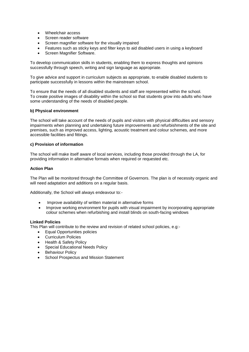- Wheelchair access
- Screen reader software
- Screen magnifier software for the visually impaired
- Features such as sticky keys and filter keys to aid disabled users in using a keyboard
- Screen Magnifier Software.

To develop communication skills in students, enabling them to express thoughts and opinions successfully through speech, writing and sign language as appropriate.

To give advice and support in curriculum subjects as appropriate, to enable disabled students to participate successfully in lessons within the mainstream school.

To ensure that the needs of all disabled students and staff are represented within the school. To create positive images of disability within the school so that students grow into adults who have some understanding of the needs of disabled people.

#### **b) Physical environment**

The school will take account of the needs of pupils and visitors with physical difficulties and sensory impairments when planning and undertaking future improvements and refurbishments of the site and premises, such as improved access, lighting, acoustic treatment and colour schemes, and more accessible facilities and fittings.

#### **c) Provision of information**

The school will make itself aware of local services, including those provided through the LA, for providing information in alternative formats when required or requested etc.

#### **Action Plan**

The Plan will be monitored through the Committee of Governors. The plan is of necessity organic and will need adaptation and additions on a regular basis.

Additionally, the School will always endeavour to:-

- Improve availability of written material in alternative forms
- Improve working environment for pupils with visual impairment by incorporating appropriate colour schemes when refurbishing and install blinds on south-facing windows

#### **Linked Policies**

This Plan will contribute to the review and revision of related school policies, e.g:-

- Equal Opportunities policies
- Curriculum Policies
- Health & Safety Policy
- Special Educational Needs Policy
- Behaviour Policy
- School Prospectus and Mission Statement